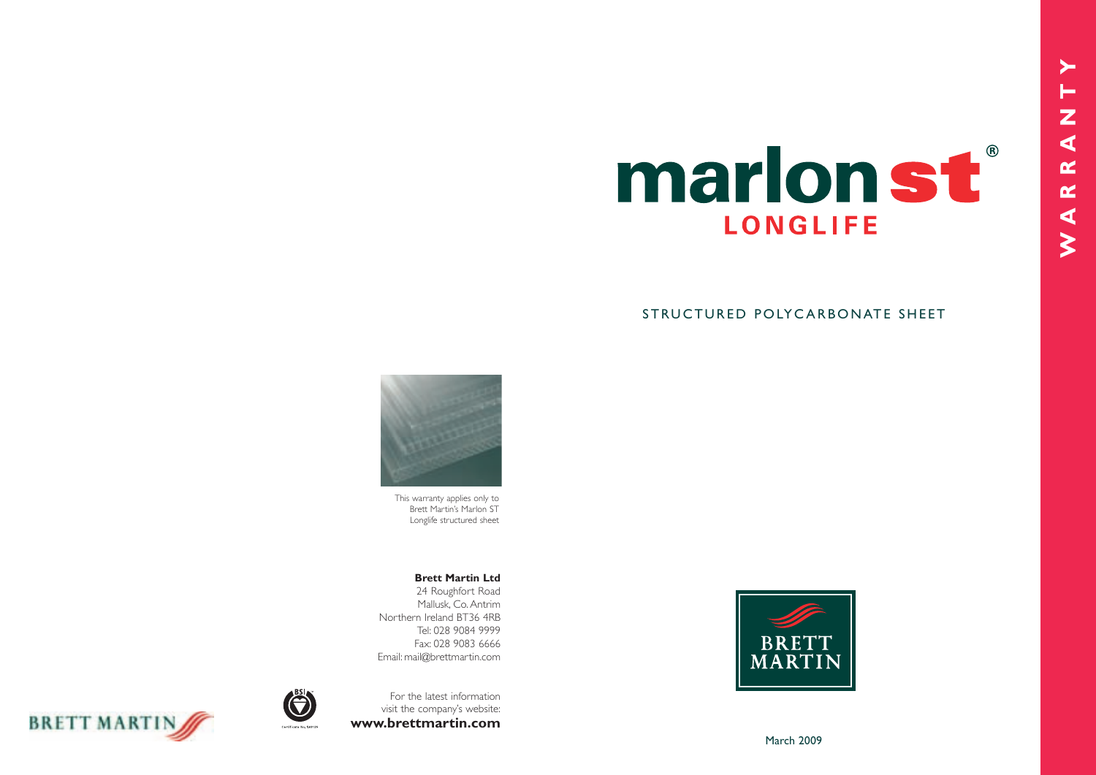

# STRUCTURED POLYCARBONATE SHEET





This warranty applies only to Brett Martin's Marlon ST Longlife structured sheet

#### **Brett Martin Ltd**

24 Roughfort Road Mallusk, Co. Antrim Northern Ireland BT36 4RB Tel: 028 9084 9999 Fax: 028 9083 6666 Email: mail@brettmartin.com

For the latest information visit the company's website: **www.brettmartin.com**



March 2009